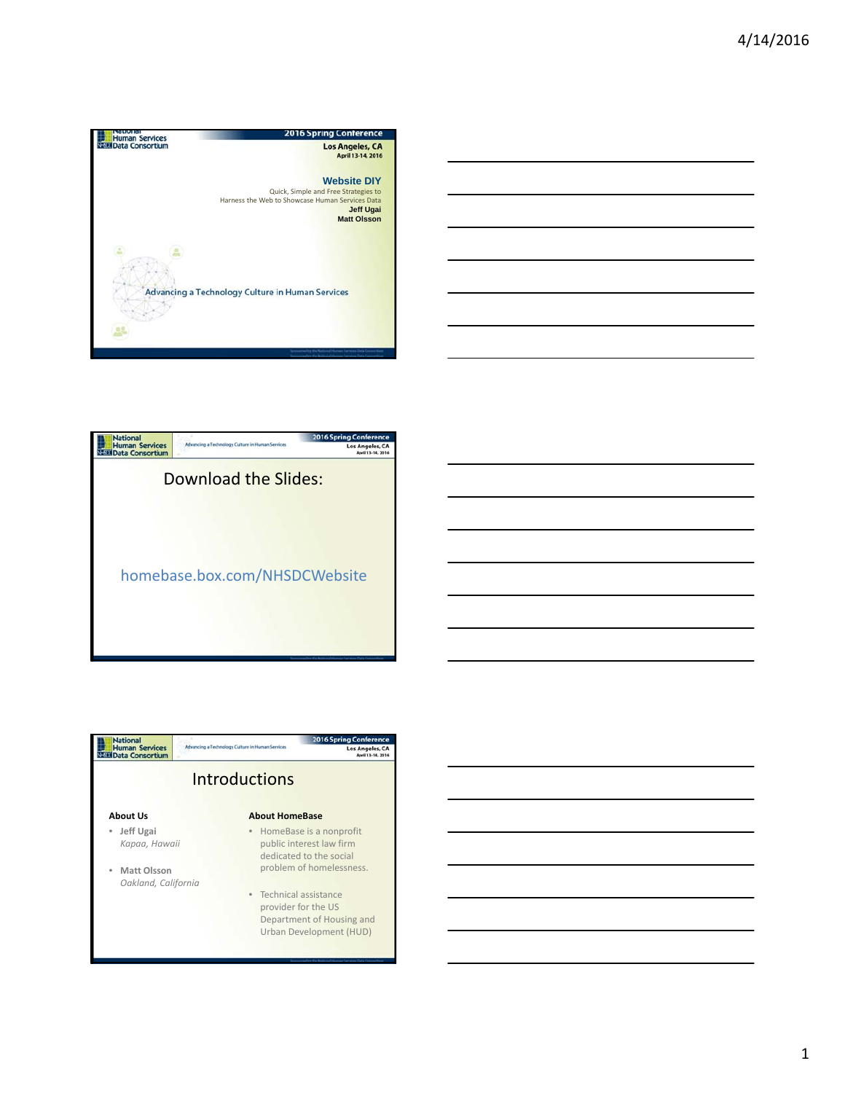







1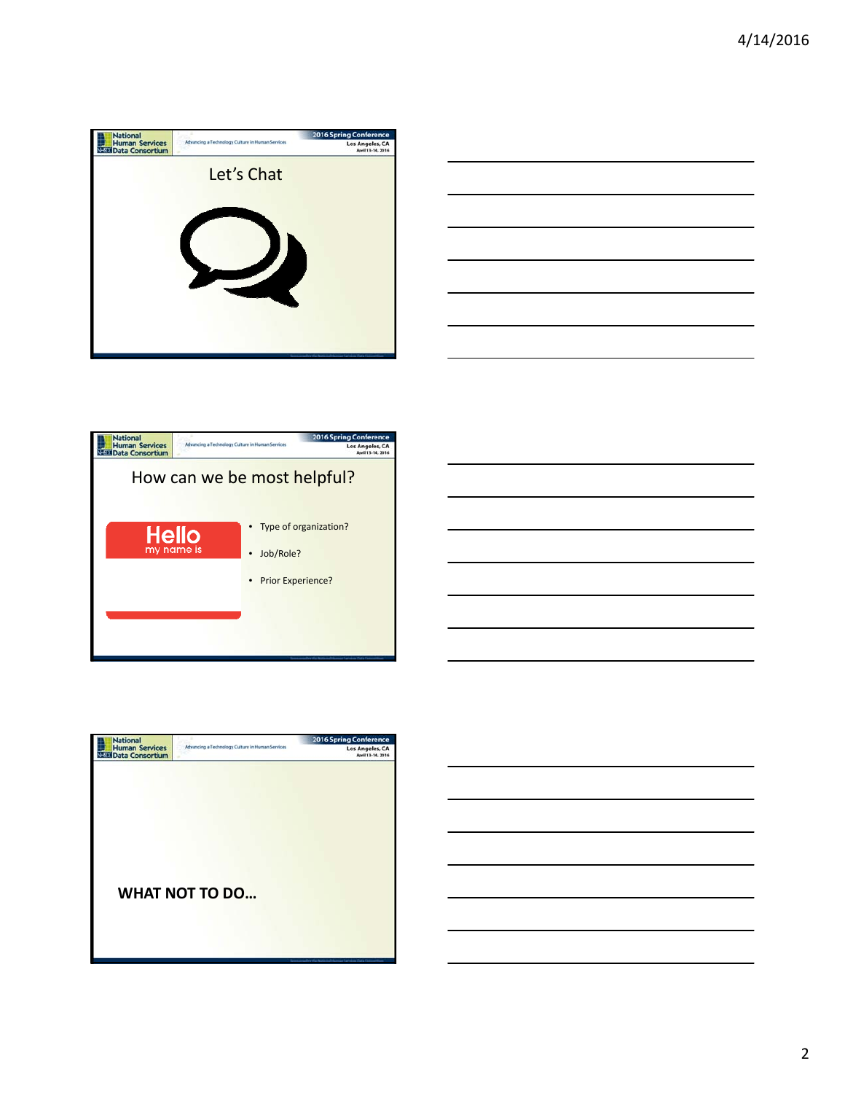

| the contract of the contract of the contract of the contract of the contract of |  | ___ |
|---------------------------------------------------------------------------------|--|-----|
|                                                                                 |  |     |
|                                                                                 |  |     |
|                                                                                 |  |     |
|                                                                                 |  |     |
| the control of the control of the control of                                    |  |     |





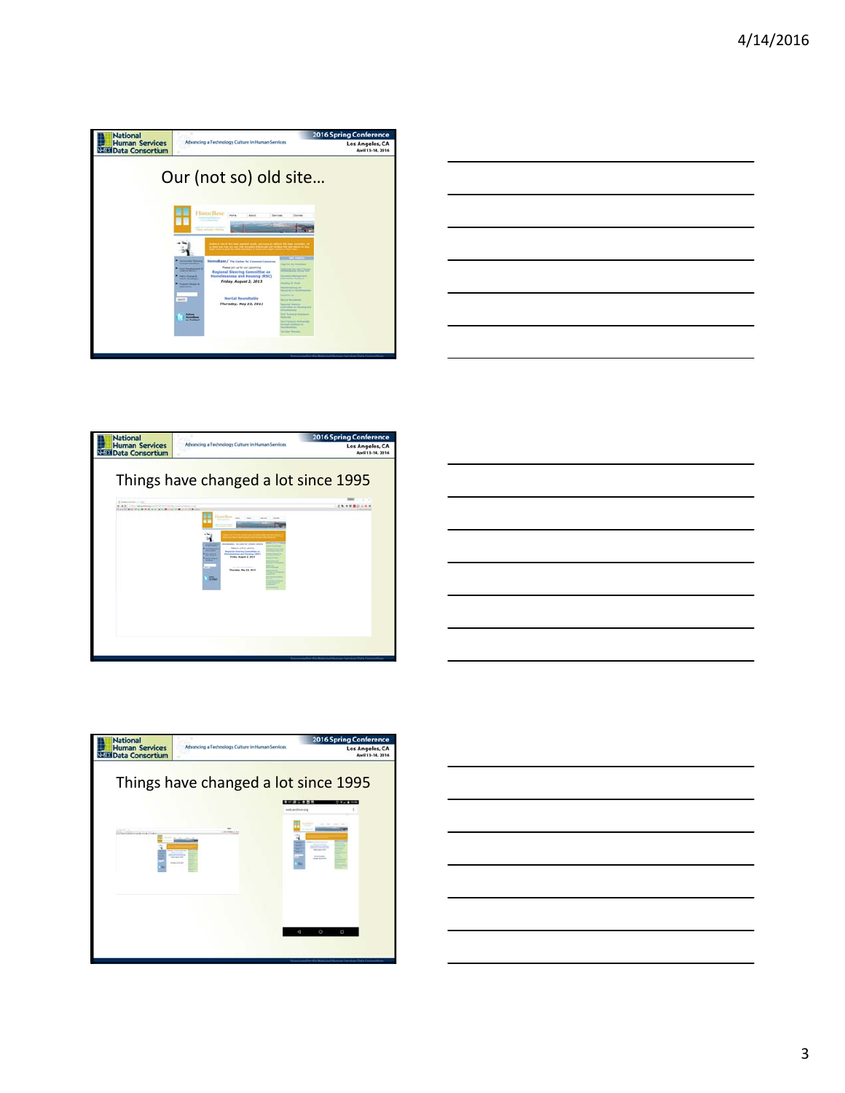

|                                     |  | and the control of the con- |
|-------------------------------------|--|-----------------------------|
|                                     |  |                             |
| the contract of the contract of the |  |                             |







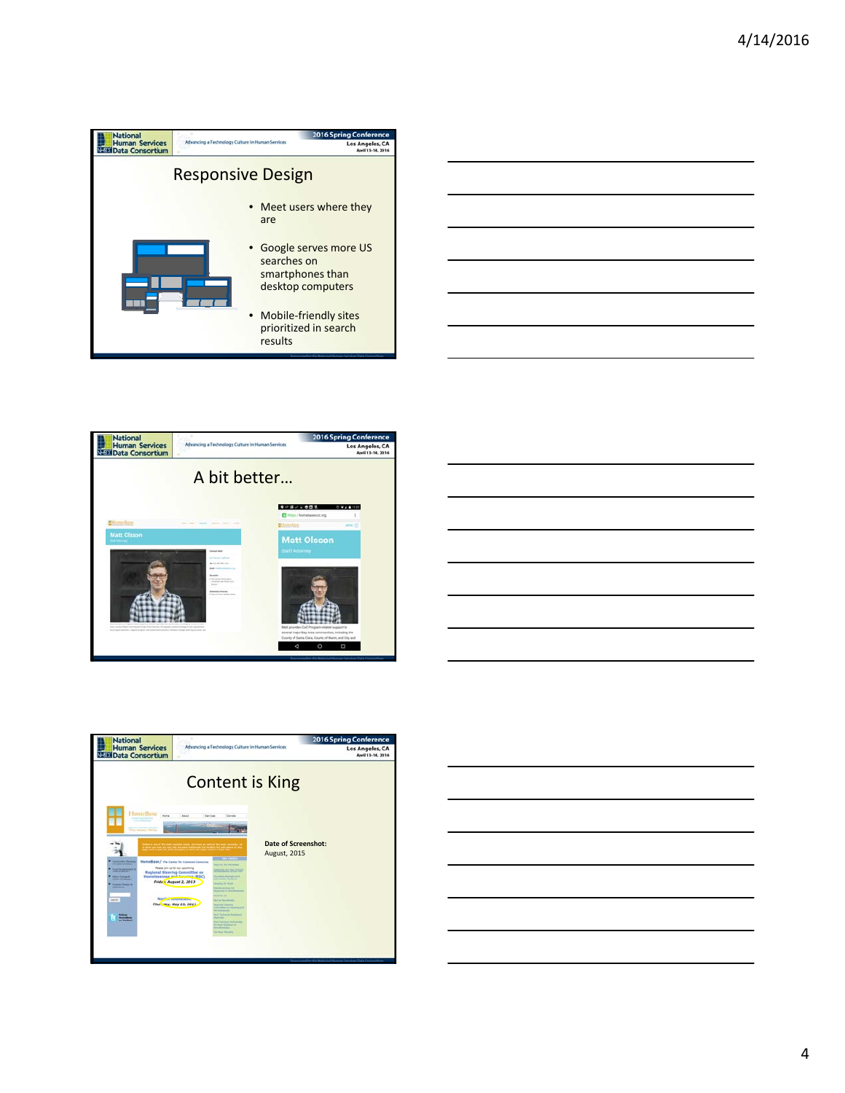







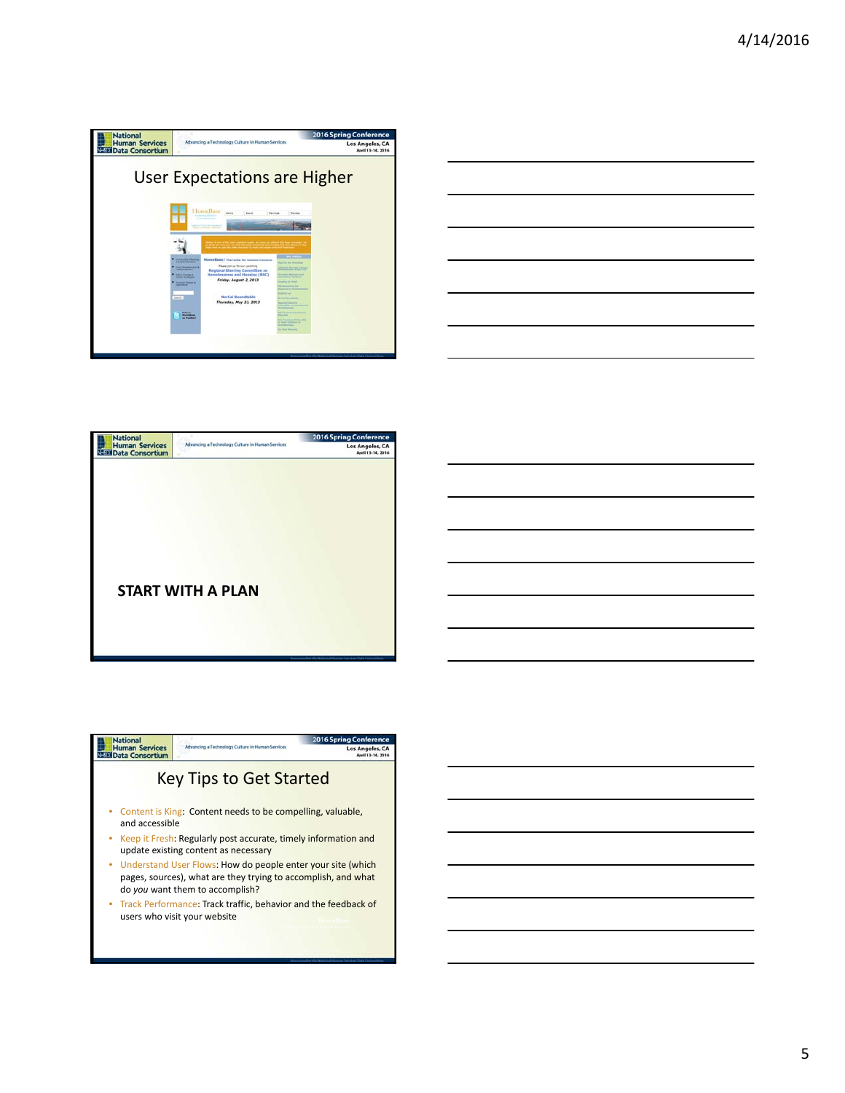

| <u> Andreas Andreas Andreas Andreas Andreas Andreas Andreas Andreas Andreas Andreas Andreas Andreas Andreas Andr</u> |       |
|----------------------------------------------------------------------------------------------------------------------|-------|
|                                                                                                                      |       |
|                                                                                                                      | _____ |
|                                                                                                                      |       |
|                                                                                                                      |       |
|                                                                                                                      |       |



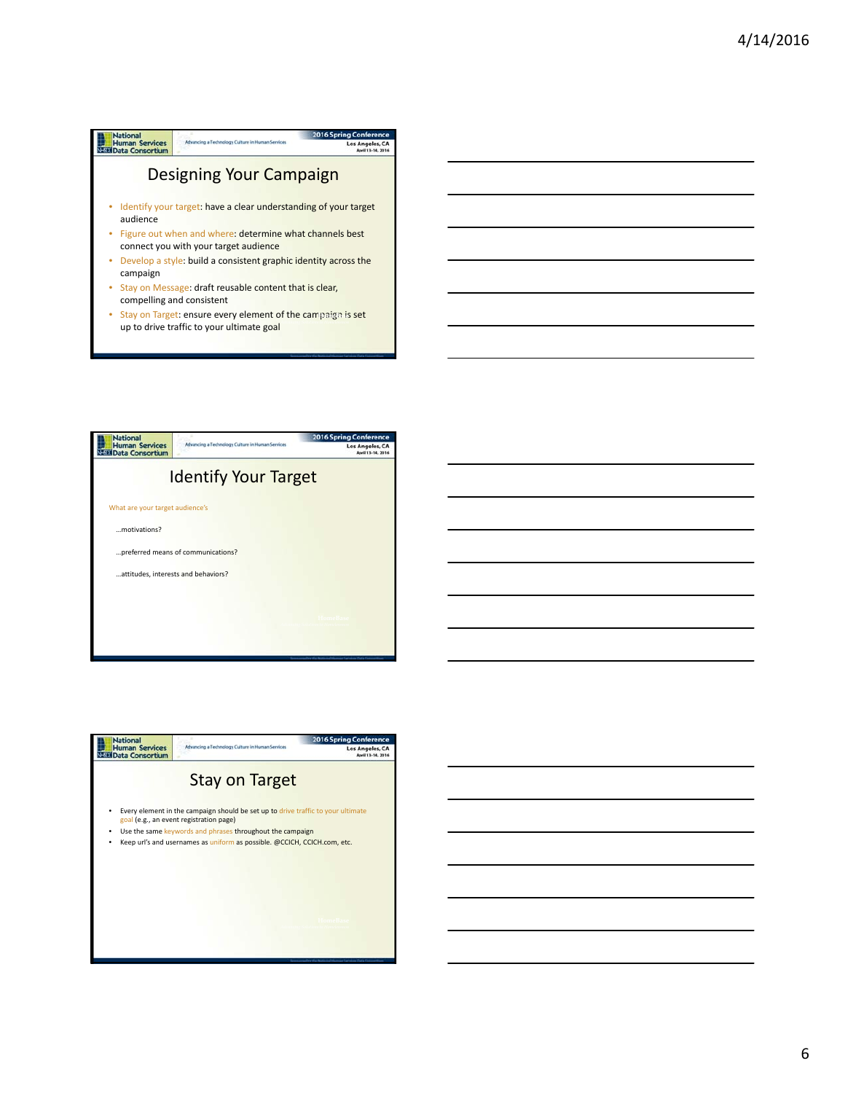



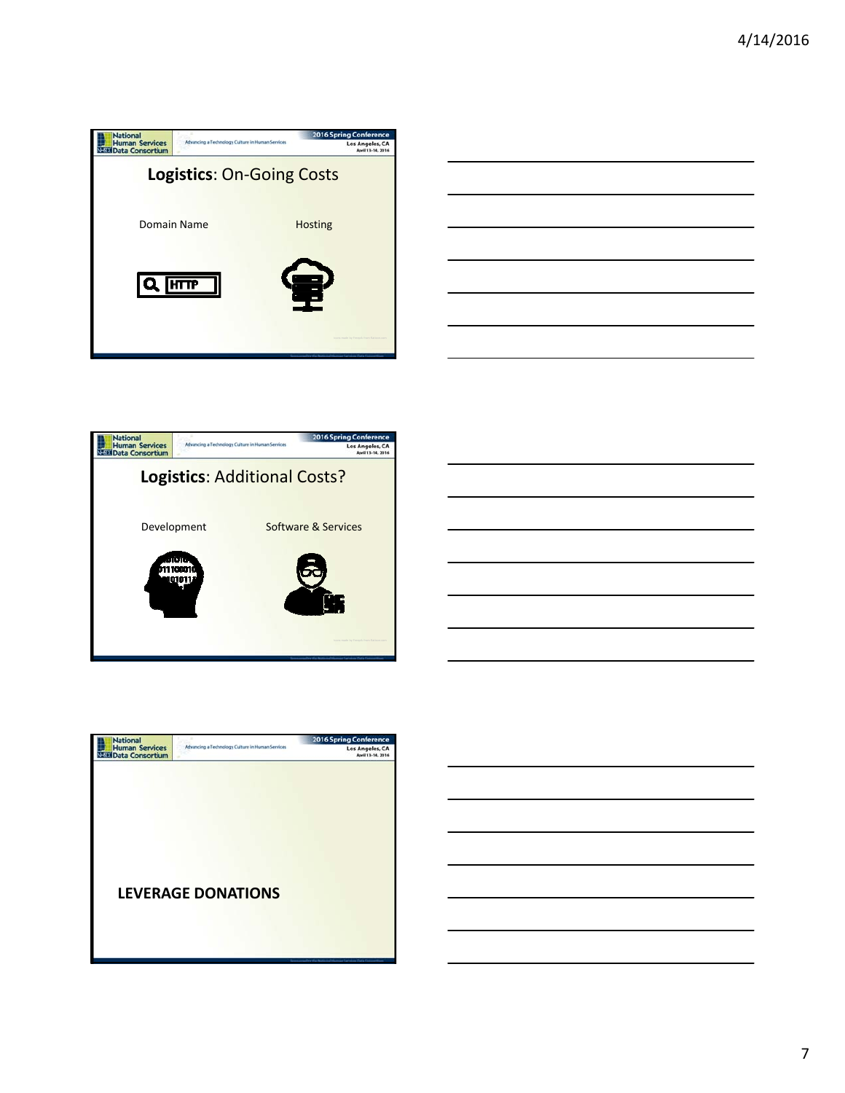





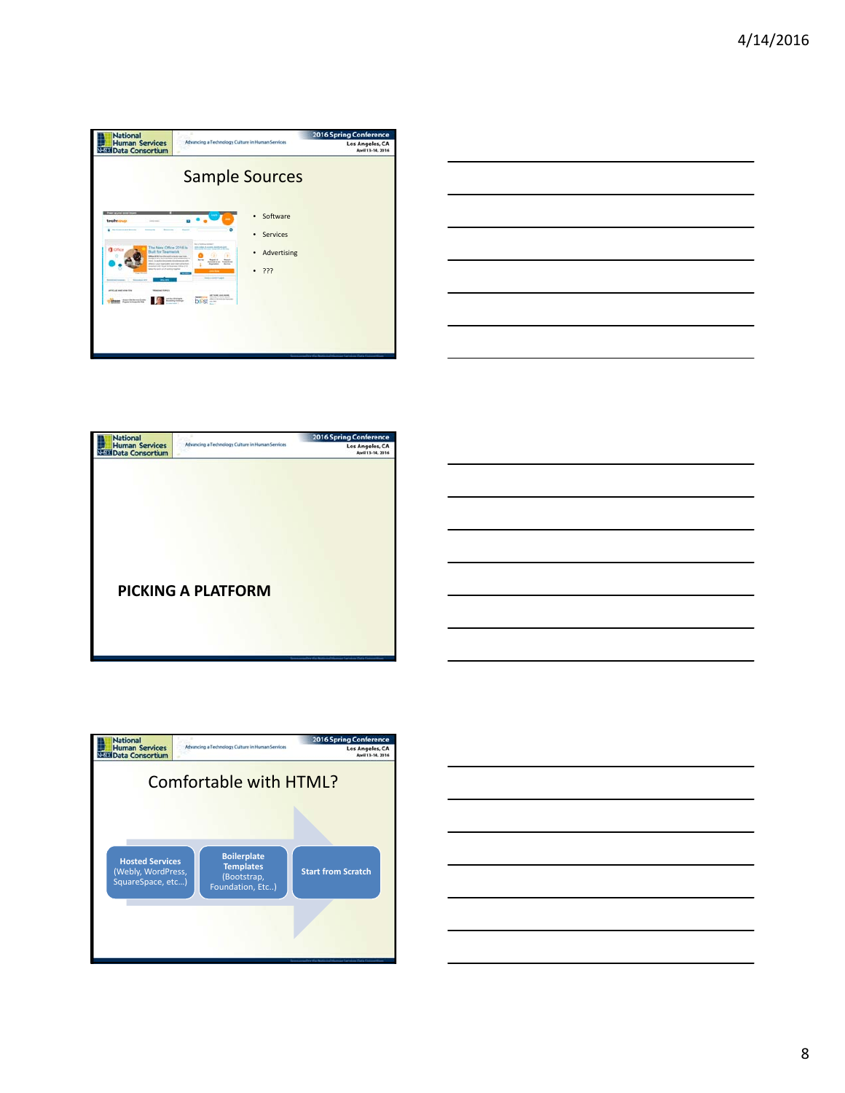

| $\overline{\phantom{a}}$ |  |                   |
|--------------------------|--|-------------------|
|                          |  |                   |
|                          |  |                   |
|                          |  |                   |
|                          |  |                   |
|                          |  |                   |
|                          |  |                   |
|                          |  |                   |
|                          |  | ___               |
|                          |  |                   |
|                          |  |                   |
|                          |  |                   |
|                          |  | <b>Contractor</b> |
|                          |  |                   |
|                          |  |                   |
|                          |  |                   |
|                          |  |                   |
|                          |  |                   |
|                          |  |                   |
|                          |  |                   |
| _________                |  |                   |
|                          |  |                   |







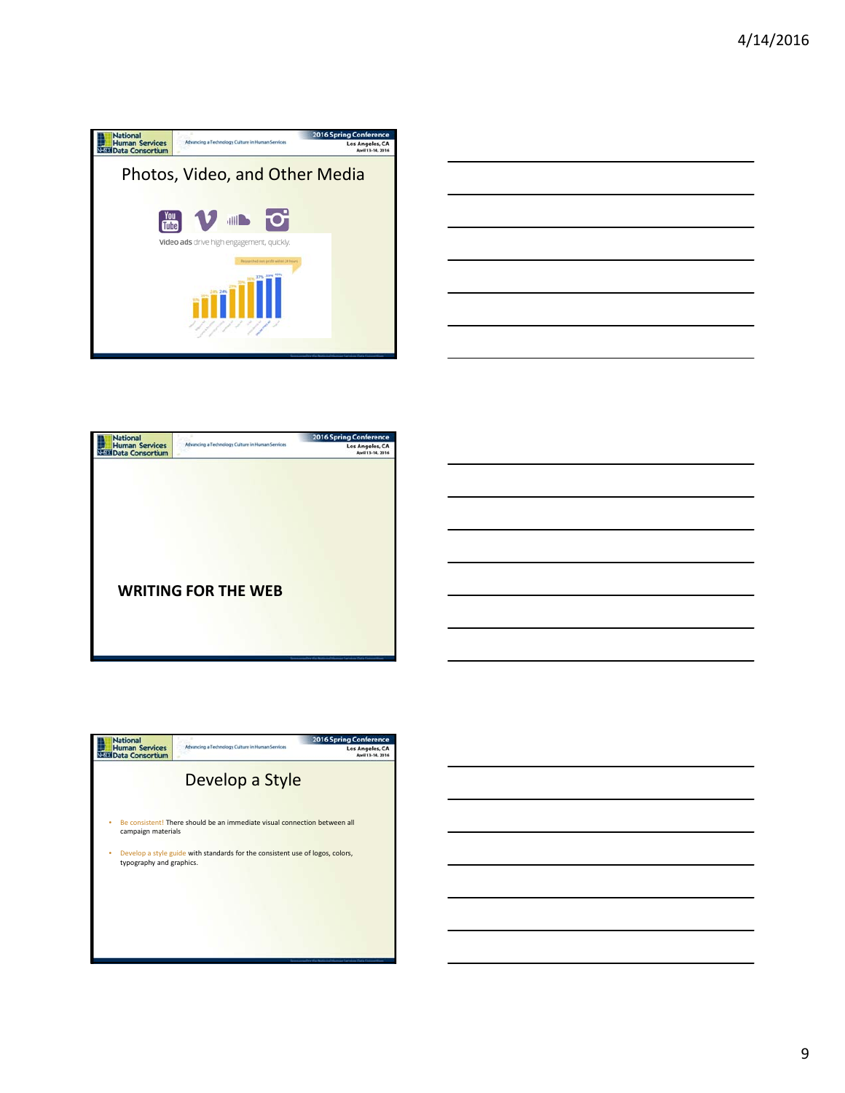

| ___                               |
|-----------------------------------|
|                                   |
|                                   |
|                                   |
|                                   |
|                                   |
|                                   |
|                                   |
|                                   |
|                                   |
|                                   |
|                                   |
|                                   |
|                                   |
|                                   |
|                                   |
|                                   |
|                                   |
|                                   |
|                                   |
|                                   |
|                                   |
|                                   |
|                                   |
| the control of the control of the |
|                                   |
|                                   |
|                                   |
|                                   |
|                                   |
|                                   |
|                                   |
|                                   |
|                                   |
|                                   |
|                                   |
|                                   |
|                                   |
|                                   |
|                                   |
|                                   |



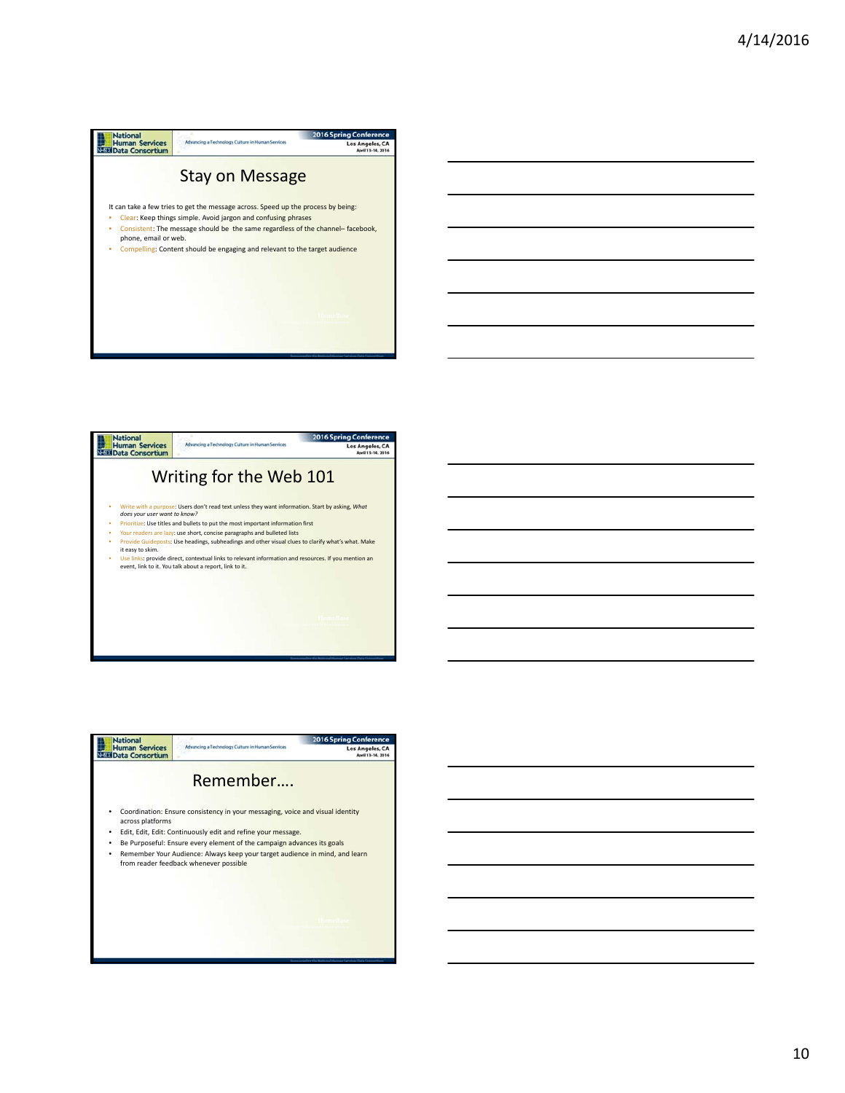



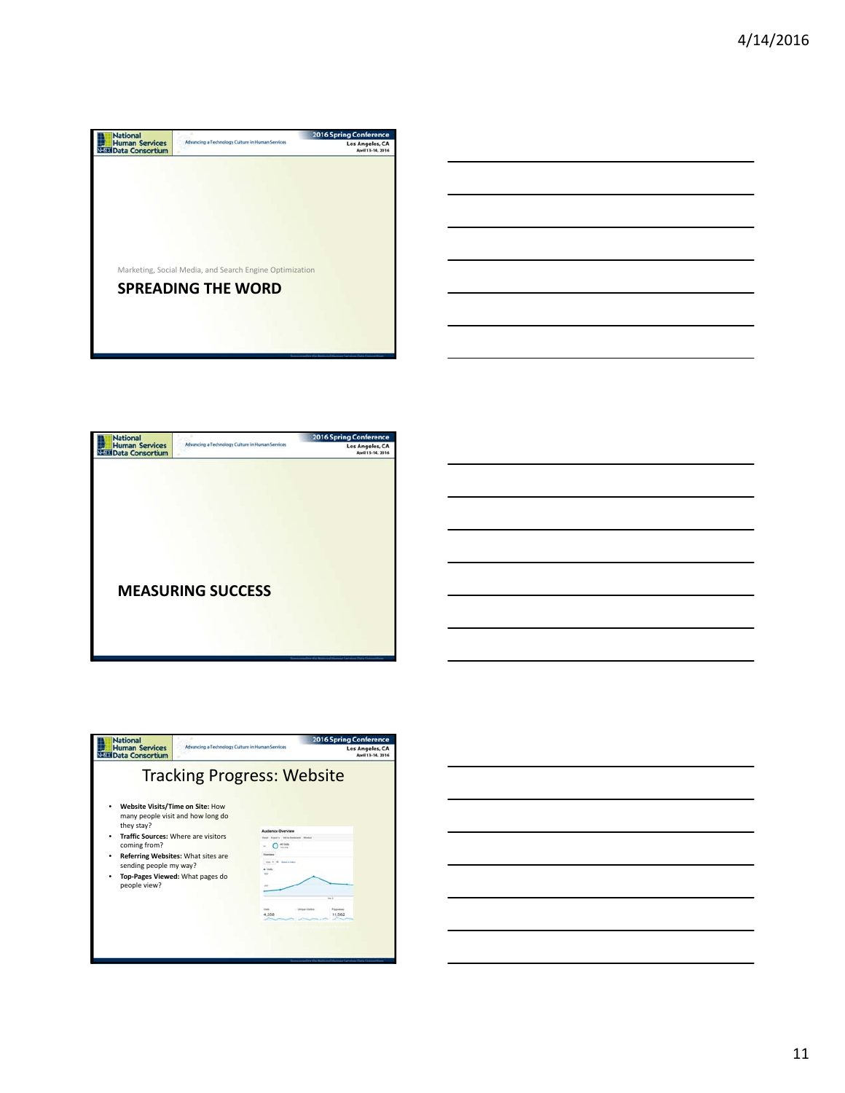